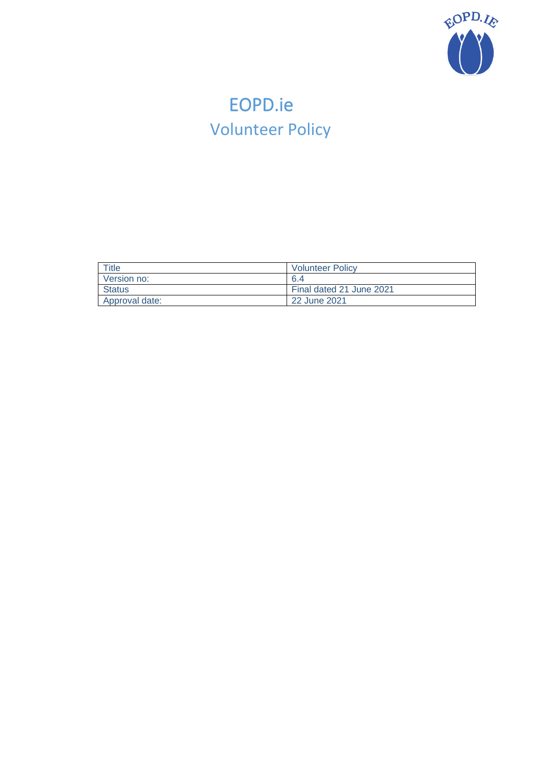

# <span id="page-0-0"></span>EOPD.ie Volunteer Policy

| Title          | <b>Volunteer Policy</b>  |  |  |
|----------------|--------------------------|--|--|
| Version no:    | -6.4                     |  |  |
| <b>Status</b>  | Final dated 21 June 2021 |  |  |
| Approval date: | 22 June 2021             |  |  |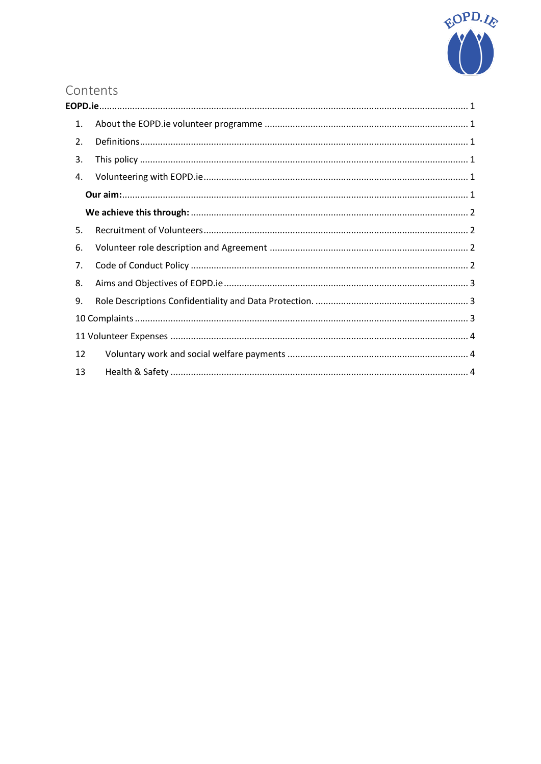

# Contents

| 1.               |  |  |  |  |  |  |  |
|------------------|--|--|--|--|--|--|--|
| $\overline{2}$ . |  |  |  |  |  |  |  |
| 3.               |  |  |  |  |  |  |  |
| 4.               |  |  |  |  |  |  |  |
|                  |  |  |  |  |  |  |  |
|                  |  |  |  |  |  |  |  |
| 5.               |  |  |  |  |  |  |  |
| 6.               |  |  |  |  |  |  |  |
| 7.               |  |  |  |  |  |  |  |
| 8.               |  |  |  |  |  |  |  |
| 9.               |  |  |  |  |  |  |  |
|                  |  |  |  |  |  |  |  |
|                  |  |  |  |  |  |  |  |
| 12               |  |  |  |  |  |  |  |
| 13               |  |  |  |  |  |  |  |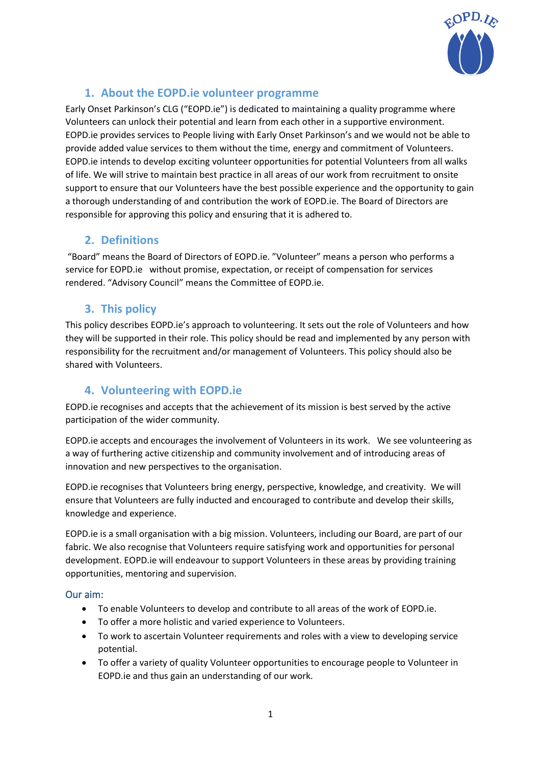

## **1. About the EOPD.ie volunteer programme**

<span id="page-2-0"></span>Early Onset Parkinson's CLG ("EOPD.ie") is dedicated to maintaining a quality programme where Volunteers can unlock their potential and learn from each other in a supportive environment. EOPD.ie provides services to People living with Early Onset Parkinson's and we would not be able to provide added value services to them without the time, energy and commitment of Volunteers. EOPD.ie intends to develop exciting volunteer opportunities for potential Volunteers from all walks of life. We will strive to maintain best practice in all areas of our work from recruitment to onsite support to ensure that our Volunteers have the best possible experience and the opportunity to gain a thorough understanding of and contribution the work of EOPD.ie. The Board of Directors are responsible for approving this policy and ensuring that it is adhered to.

# <span id="page-2-1"></span>**2. Definitions**

"Board" means the Board of Directors of EOPD.ie. "Volunteer" means a person who performs a service for EOPD.ie without promise, expectation, or receipt of compensation for services rendered. "Advisory Council" means the Committee of EOPD.ie.

# **3. This policy**

<span id="page-2-2"></span>This policy describes EOPD.ie's approach to volunteering. It sets out the role of Volunteers and how they will be supported in their role. This policy should be read and implemented by any person with responsibility for the recruitment and/or management of Volunteers. This policy should also be shared with Volunteers.

## <span id="page-2-3"></span>**4. Volunteering with EOPD.ie**

EOPD.ie recognises and accepts that the achievement of its mission is best served by the active participation of the wider community.

EOPD.ie accepts and encourages the involvement of Volunteers in its work. We see volunteering as a way of furthering active citizenship and community involvement and of introducing areas of innovation and new perspectives to the organisation.

EOPD.ie recognises that Volunteers bring energy, perspective, knowledge, and creativity. We will ensure that Volunteers are fully inducted and encouraged to contribute and develop their skills, knowledge and experience.

EOPD.ie is a small organisation with a big mission. Volunteers, including our Board, are part of our fabric. We also recognise that Volunteers require satisfying work and opportunities for personal development. EOPD.ie will endeavour to support Volunteers in these areas by providing training opportunities, mentoring and supervision.

#### <span id="page-2-4"></span>Our aim:

- To enable Volunteers to develop and contribute to all areas of the work of EOPD.ie.
- To offer a more holistic and varied experience to Volunteers.
- To work to ascertain Volunteer requirements and roles with a view to developing service potential.
- To offer a variety of quality Volunteer opportunities to encourage people to Volunteer in EOPD.ie and thus gain an understanding of our work.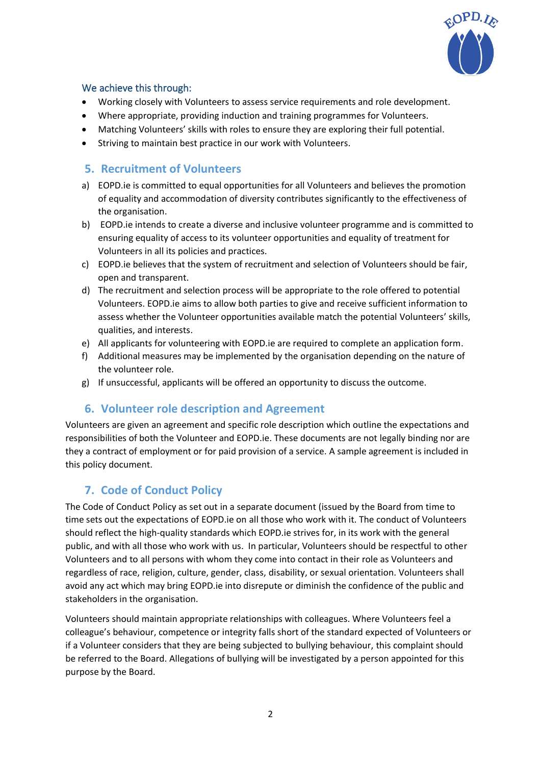

#### <span id="page-3-0"></span>We achieve this through:

- Working closely with Volunteers to assess service requirements and role development.
- Where appropriate, providing induction and training programmes for Volunteers.
- Matching Volunteers' skills with roles to ensure they are exploring their full potential.
- Striving to maintain best practice in our work with Volunteers.

#### <span id="page-3-1"></span>**5. Recruitment of Volunteers**

- a) EOPD.ie is committed to equal opportunities for all Volunteers and believes the promotion of equality and accommodation of diversity contributes significantly to the effectiveness of the organisation.
- b) EOPD.ie intends to create a diverse and inclusive volunteer programme and is committed to ensuring equality of access to its volunteer opportunities and equality of treatment for Volunteers in all its policies and practices.
- c) EOPD.ie believes that the system of recruitment and selection of Volunteers should be fair, open and transparent.
- d) The recruitment and selection process will be appropriate to the role offered to potential Volunteers. EOPD.ie aims to allow both parties to give and receive sufficient information to assess whether the Volunteer opportunities available match the potential Volunteers' skills, qualities, and interests.
- e) All applicants for volunteering with EOPD.ie are required to complete an application form.
- f) Additional measures may be implemented by the organisation depending on the nature of the volunteer role.
- g) If unsuccessful, applicants will be offered an opportunity to discuss the outcome.

#### **6. Volunteer role description and Agreement**

<span id="page-3-2"></span>Volunteers are given an agreement and specific role description which outline the expectations and responsibilities of both the Volunteer and EOPD.ie. These documents are not legally binding nor are they a contract of employment or for paid provision of a service. A sample agreement is included in this policy document.

#### <span id="page-3-3"></span>**7. Code of Conduct Policy**

The Code of Conduct Policy as set out in a separate document (issued by the Board from time to time sets out the expectations of EOPD.ie on all those who work with it. The conduct of Volunteers should reflect the high-quality standards which EOPD.ie strives for, in its work with the general public, and with all those who work with us. In particular, Volunteers should be respectful to other Volunteers and to all persons with whom they come into contact in their role as Volunteers and regardless of race, religion, culture, gender, class, disability, or sexual orientation. Volunteers shall avoid any act which may bring EOPD.ie into disrepute or diminish the confidence of the public and stakeholders in the organisation.

Volunteers should maintain appropriate relationships with colleagues. Where Volunteers feel a colleague's behaviour, competence or integrity falls short of the standard expected of Volunteers or if a Volunteer considers that they are being subjected to bullying behaviour, this complaint should be referred to the Board. Allegations of bullying will be investigated by a person appointed for this purpose by the Board.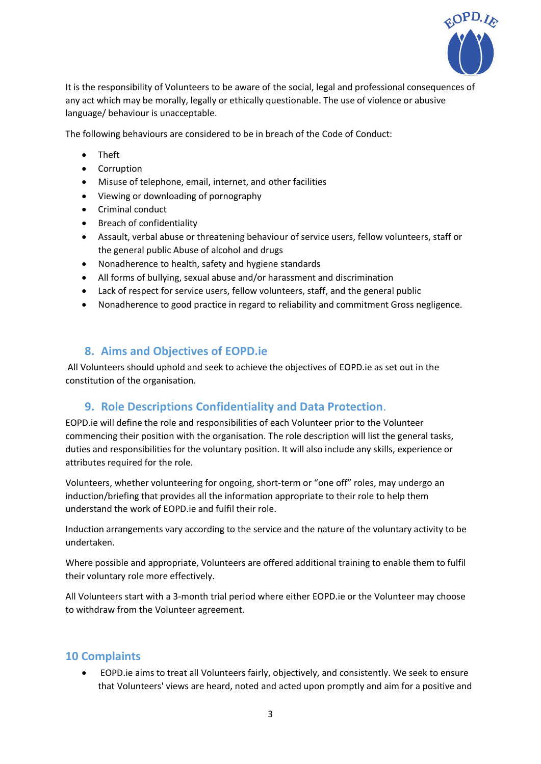

It is the responsibility of Volunteers to be aware of the social, legal and professional consequences of any act which may be morally, legally or ethically questionable. The use of violence or abusive language/ behaviour is unacceptable.

The following behaviours are considered to be in breach of the Code of Conduct:

- Theft
- Corruption
- Misuse of telephone, email, internet, and other facilities
- Viewing or downloading of pornography
- Criminal conduct
- Breach of confidentiality
- Assault, verbal abuse or threatening behaviour of service users, fellow volunteers, staff or the general public Abuse of alcohol and drugs
- Nonadherence to health, safety and hygiene standards
- All forms of bullying, sexual abuse and/or harassment and discrimination
- Lack of respect for service users, fellow volunteers, staff, and the general public
- Nonadherence to good practice in regard to reliability and commitment Gross negligence.

#### <span id="page-4-0"></span>**8. Aims and Objectives of EOPD.ie**

All Volunteers should uphold and seek to achieve the objectives of EOPD.ie as set out in the constitution of the organisation.

#### <span id="page-4-1"></span>**9. Role Descriptions Confidentiality and Data Protection**.

EOPD.ie will define the role and responsibilities of each Volunteer prior to the Volunteer commencing their position with the organisation. The role description will list the general tasks, duties and responsibilities for the voluntary position. It will also include any skills, experience or attributes required for the role.

Volunteers, whether volunteering for ongoing, short-term or "one off" roles, may undergo an induction/briefing that provides all the information appropriate to their role to help them understand the work of EOPD.ie and fulfil their role.

Induction arrangements vary according to the service and the nature of the voluntary activity to be undertaken.

Where possible and appropriate, Volunteers are offered additional training to enable them to fulfil their voluntary role more effectively.

All Volunteers start with a 3-month trial period where either EOPD.ie or the Volunteer may choose to withdraw from the Volunteer agreement.

#### <span id="page-4-2"></span>**10 Complaints**

• EOPD.ie aims to treat all Volunteers fairly, objectively, and consistently. We seek to ensure that Volunteers' views are heard, noted and acted upon promptly and aim for a positive and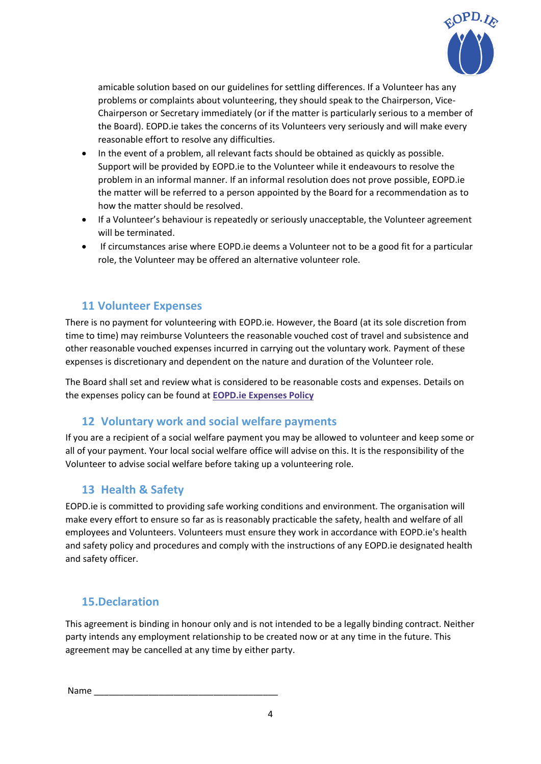

amicable solution based on our guidelines for settling differences. If a Volunteer has any problems or complaints about volunteering, they should speak to the Chairperson, Vice-Chairperson or Secretary immediately (or if the matter is particularly serious to a member of the Board). EOPD.ie takes the concerns of its Volunteers very seriously and will make every reasonable effort to resolve any difficulties.

- In the event of a problem, all relevant facts should be obtained as quickly as possible. Support will be provided by EOPD.ie to the Volunteer while it endeavours to resolve the problem in an informal manner. If an informal resolution does not prove possible, EOPD.ie the matter will be referred to a person appointed by the Board for a recommendation as to how the matter should be resolved.
- If a Volunteer's behaviour is repeatedly or seriously unacceptable, the Volunteer agreement will be terminated.
- If circumstances arise where EOPD.ie deems a Volunteer not to be a good fit for a particular role, the Volunteer may be offered an alternative volunteer role.

#### <span id="page-5-0"></span>**11 Volunteer Expenses**

There is no payment for volunteering with EOPD.ie. However, the Board (at its sole discretion from time to time) may reimburse Volunteers the reasonable vouched cost of travel and subsistence and other reasonable vouched expenses incurred in carrying out the voluntary work. Payment of these expenses is discretionary and dependent on the nature and duration of the Volunteer role.

The Board shall set and review what is considered to be reasonable costs and expenses. Details on the expenses policy can be found at **[EOPD.ie Expenses Policy](https://eopd.ie/wp-content/uploads/2022/01/EOPD.ie-Expenses-Policy-V1.8-pdf.pdf)**

#### <span id="page-5-1"></span>**12 Voluntary work and social welfare payments**

If you are a recipient of a social welfare payment you may be allowed to volunteer and keep some or all of your payment. Your local social welfare office will advise on this. It is the responsibility of the Volunteer to advise social welfare before taking up a volunteering role.

#### <span id="page-5-2"></span>**13 Health & Safety**

EOPD.ie is committed to providing safe working conditions and environment. The organisation will make every effort to ensure so far as is reasonably practicable the safety, health and welfare of all employees and Volunteers. Volunteers must ensure they work in accordance with EOPD.ie's health and safety policy and procedures and comply with the instructions of any EOPD.ie designated health and safety officer.

#### **15.Declaration**

This agreement is binding in honour only and is not intended to be a legally binding contract. Neither party intends any employment relationship to be created now or at any time in the future. This agreement may be cancelled at any time by either party.

Name